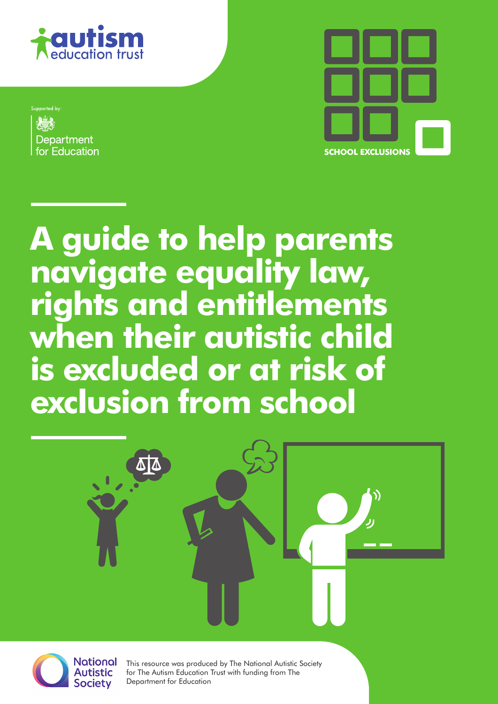

Supported by Department for Education



**A guide to help parents navigate equality law, rights and entitlements when their autistic child is excluded or at risk of exclusion from school**





This resource was produced by The National Autistic Society for The Autism Education Trust with funding from The Department for Education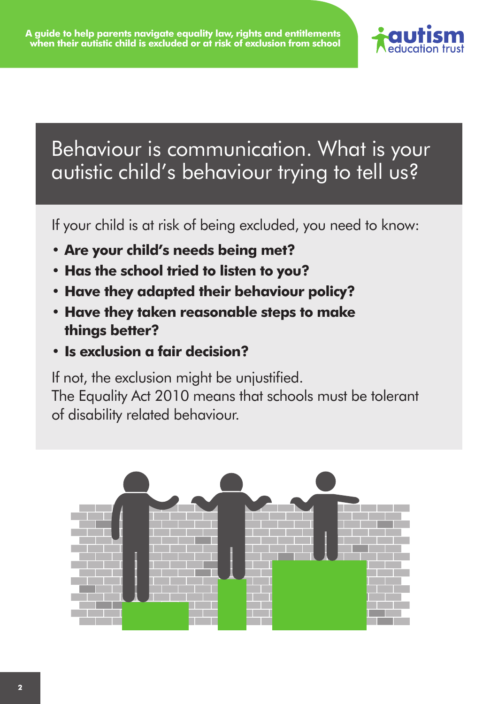

## Behaviour is communication. What is your autistic child's behaviour trying to tell us?

If your child is at risk of being excluded, you need to know:

- **• Are your child's needs being met?**
- **• Has the school tried to listen to you?**
- **• Have they adapted their behaviour policy?**
- **• Have they taken reasonable steps to make things better?**
- **• Is exclusion a fair decision?**

If not, the exclusion might be unjustified.

The Equality Act 2010 means that schools must be tolerant of disability related behaviour.

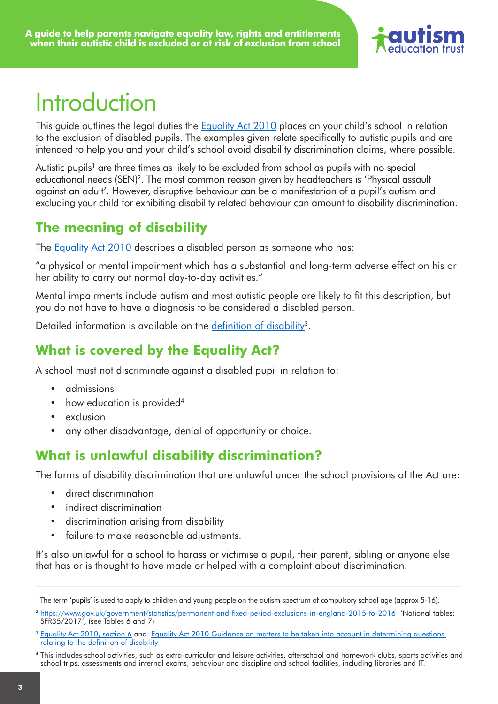![](_page_2_Picture_1.jpeg)

# Introduction

This quide outlines the legal duties the [Equality Act 2010](https://www.legislation.gov.uk/ukpga/2010/15/contents) places on your child's school in relation to the exclusion of disabled pupils. The examples given relate specifically to autistic pupils and are intended to help you and your child's school avoid disability discrimination claims, where possible.

Autistic pupils<sup>1</sup> are three times as likely to be excluded from school as pupils with no special educational needs (SEN)<sup>2</sup>. The most common reason given by headteachers is 'Physical assault against an adult'. However, disruptive behaviour can be a manifestation of a pupil's autism and excluding your child for exhibiting disability related behaviour can amount to disability discrimination.

#### **The meaning of disability**

The **[Equality Act 2010](http://www.legislation.gov.uk/ukpga/2010/15/contents)** describes a disabled person as someone who has:

"a physical or mental impairment which has a substantial and long-term adverse effect on his or her ability to carry out normal day-to-day activities."

Mental impairments include autism and most autistic people are likely to fit this description, but you do not have to have a diagnosis to be considered a disabled person.

Detailed information is available on the [definition of disability](https://www.equalityhumanrights.com/en/publication-download/equality-act-2010-guidance-matters-be-taken-account-determining-questions)<sup>3</sup>.

### **What is covered by the Equality Act?**

A school must not discriminate against a disabled pupil in relation to:

- • admissions
- how education is provided<sup>4</sup>
- exclusion
- any other disadvantage, denial of opportunity or choice.

#### **What is unlawful disability discrimination?**

The forms of disability discrimination that are unlawful under the school provisions of the Act are:

- direct discrimination
- indirect discrimination
- discrimination arising from disability
- failure to make reasonable adjustments.

It's also unlawful for a school to harass or victimise a pupil, their parent, sibling or anyone else that has or is thought to have made or helped with a complaint about discrimination.

<sup>1</sup> The term 'pupils' is used to apply to children and young people on the autism spectrum of compulsory school age (approx 5-16).

<sup>2</sup> <https://www.gov.uk/government/statistics/permanent-and-fixed-period-exclusions-in-england-2015-to-2016> 'National tables: SFR35/2017', (see Tables 6 and 7)

<sup>&</sup>lt;sup>3</sup> [Equality Act 2010, section 6](http://www.legislation.gov.uk/ukpga/2010/15/section/6) and Equality Act 2010 Guidance on matters to be taken into account in determining questions [relating to the definition of disability](https://www.equalityhumanrights.com/en/publication-download/equality-act-2010-guidance-matters-be-taken-account-determining-questions)

<sup>4</sup> This includes school activities, such as extra-curricular and leisure activities, afterschool and homework clubs, sports activities and school trips, assessments and internal exams, behaviour and discipline and school facilities, including libraries and IT.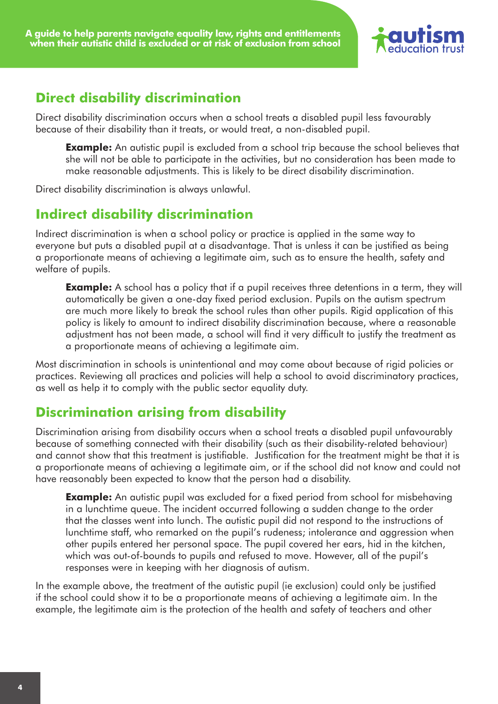![](_page_3_Picture_1.jpeg)

#### **Direct disability discrimination**

Direct disability discrimination occurs when a school treats a disabled pupil less favourably because of their disability than it treats, or would treat, a non-disabled pupil.

**Example:** An autistic pupil is excluded from a school trip because the school believes that she will not be able to participate in the activities, but no consideration has been made to make reasonable adjustments. This is likely to be direct disability discrimination.

Direct disability discrimination is always unlawful.

#### **Indirect disability discrimination**

Indirect discrimination is when a school policy or practice is applied in the same way to everyone but puts a disabled pupil at a disadvantage. That is unless it can be justified as being a proportionate means of achieving a legitimate aim, such as to ensure the health, safety and welfare of pupils.

**Example:** A school has a policy that if a pupil receives three detentions in a term, they will automatically be given a one-day fixed period exclusion. Pupils on the autism spectrum are much more likely to break the school rules than other pupils. Rigid application of this policy is likely to amount to indirect disability discrimination because, where a reasonable adjustment has not been made, a school will find it very difficult to justify the treatment as a proportionate means of achieving a legitimate aim.

Most discrimination in schools is unintentional and may come about because of rigid policies or practices. Reviewing all practices and policies will help a school to avoid discriminatory practices, as well as help it to comply with the public sector equality duty.

#### **Discrimination arising from disability**

Discrimination arising from disability occurs when a school treats a disabled pupil unfavourably because of something connected with their disability (such as their disability-related behaviour) and cannot show that this treatment is justifiable. Justification for the treatment might be that it is a proportionate means of achieving a legitimate aim, or if the school did not know and could not have reasonably been expected to know that the person had a disability.

**Example:** An autistic pupil was excluded for a fixed period from school for misbehaving in a lunchtime queue. The incident occurred following a sudden change to the order that the classes went into lunch. The autistic pupil did not respond to the instructions of lunchtime staff, who remarked on the pupil's rudeness; intolerance and aggression when other pupils entered her personal space. The pupil covered her ears, hid in the kitchen, which was out-of-bounds to pupils and refused to move. However, all of the pupil's responses were in keeping with her diagnosis of autism.

In the example above, the treatment of the autistic pupil (ie exclusion) could only be justified if the school could show it to be a proportionate means of achieving a legitimate aim. In the example, the legitimate aim is the protection of the health and safety of teachers and other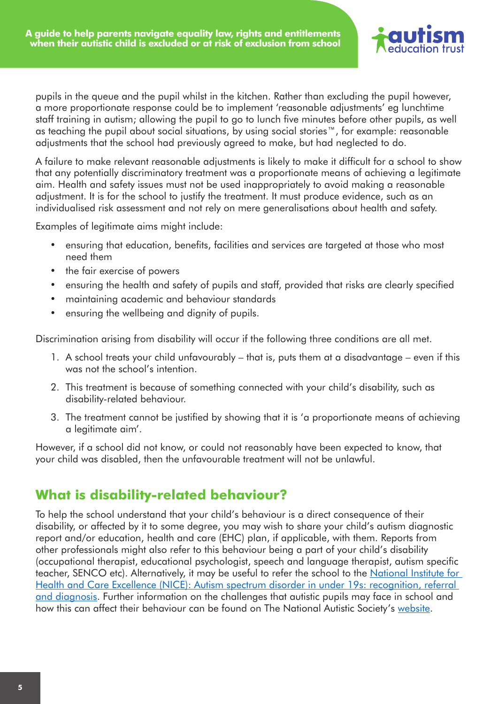![](_page_4_Picture_1.jpeg)

pupils in the queue and the pupil whilst in the kitchen. Rather than excluding the pupil however, a more proportionate response could be to implement 'reasonable adjustments' eg lunchtime staff training in autism; allowing the pupil to go to lunch five minutes before other pupils, as well as teaching the pupil about social situations, by using social stories™, for example: reasonable adjustments that the school had previously agreed to make, but had neglected to do.

A failure to make relevant reasonable adjustments is likely to make it difficult for a school to show that any potentially discriminatory treatment was a proportionate means of achieving a legitimate aim. Health and safety issues must not be used inappropriately to avoid making a reasonable adjustment. It is for the school to justify the treatment. It must produce evidence, such as an individualised risk assessment and not rely on mere generalisations about health and safety.

Examples of legitimate aims might include:

- ensuring that education, benefits, facilities and services are targeted at those who most need them
- the fair exercise of powers
- ensuring the health and safety of pupils and staff, provided that risks are clearly specified
- • maintaining academic and behaviour standards
- ensuring the wellbeing and dignity of pupils.

Discrimination arising from disability will occur if the following three conditions are all met.

- 1. A school treats your child unfavourably that is, puts them at a disadvantage even if this was not the school's intention.
- 2. This treatment is because of something connected with your child's disability, such as disability-related behaviour.
- 3. The treatment cannot be justified by showing that it is 'a proportionate means of achieving a legitimate aim'.

However, if a school did not know, or could not reasonably have been expected to know, that your child was disabled, then the unfavourable treatment will not be unlawful.

#### **What is disability-related behaviour?**

To help the school understand that your child's behaviour is a direct consequence of their disability, or affected by it to some degree, you may wish to share your child's autism diagnostic report and/or education, health and care (EHC) plan, if applicable, with them. Reports from other professionals might also refer to this behaviour being a part of your child's disability (occupational therapist, educational psychologist, speech and language therapist, autism specific teacher, SENCO etc). Alternatively, it may be useful to refer the school to the National Institute for [Health and Care Excellence \(NICE\): Autism spectrum disorder in under 19s: recognition, referral](https://www.nice.org.uk/guidance/cg128/resources)  [and diagnosis](https://www.nice.org.uk/guidance/cg128/resources). Further information on the challenges that autistic pupils may face in school and how this can affect their behaviour can be found on The National Autistic Society's [website](http://www.autism.org.uk/professionals/teachers/classroom.aspx).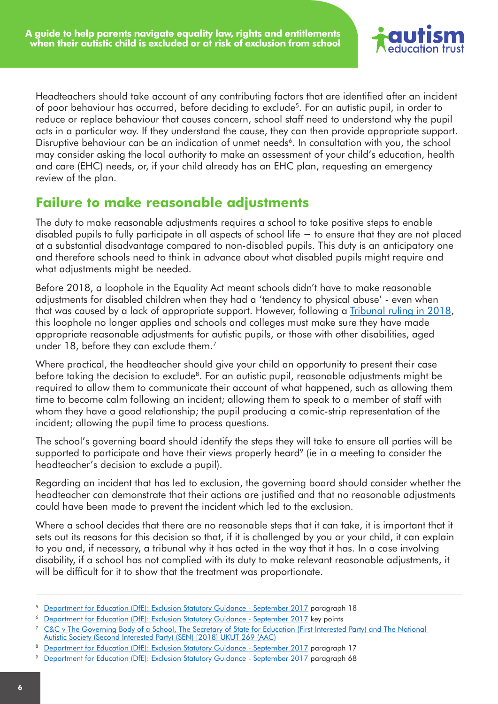![](_page_5_Picture_1.jpeg)

Headteachers should take account of any contributing factors that are identified after an incident of poor behaviour has occurred, before deciding to exclude<sup>5</sup>. For an autistic pupil, in order to reduce or replace behaviour that causes concern, school staff need to understand why the pupil acts in a particular way. If they understand the cause, they can then provide appropriate support. Disruptive behaviour can be an indication of unmet needs<sup>6</sup>. In consultation with you, the school may consider asking the local authority to make an assessment of your child's education, health and care (EHC) needs, or, if your child already has an EHC plan, requesting an emergency review of the plan.

#### **Failure to make reasonable adjustments**

The duty to make reasonable adjustments requires a school to take positive steps to enable disabled pupils to fully participate in all aspects of school life − to ensure that they are not placed at a substantial disadvantage compared to non-disabled pupils. This duty is an anticipatory one and therefore schools need to think in advance about what disabled pupils might require and what adjustments might be needed.

Before 2018, a loophole in the Equality Act meant schools didn't have to make reasonable adjustments for disabled children when they had a 'tendency to physical abuse' - even when that was caused by a lack of appropriate support. However, following a [Tribunal ruling in 2018](https://www.autism.org.uk/get-involved/media-centre/news/2018-08-14-landmark-ruling-exclusions.aspx), this loophole no longer applies and schools and colleges must make sure they have made appropriate reasonable adjustments for autistic pupils, or those with other disabilities, aged under 18, before they can exclude them.<sup>7</sup>

Where practical, the headteacher should give your child an opportunity to present their case before taking the decision to exclude<sup>8</sup>. For an autistic pupil, reasonable adjustments might be required to allow them to communicate their account of what happened, such as allowing them time to become calm following an incident; allowing them to speak to a member of staff with whom they have a good relationship; the pupil producing a comic-strip representation of the incident; allowing the pupil time to process questions.

The school's governing board should identify the steps they will take to ensure all parties will be supported to participate and have their views properly heard<sup>9</sup> (ie in a meeting to consider the headteacher's decision to exclude a pupil).

Regarding an incident that has led to exclusion, the governing board should consider whether the headteacher can demonstrate that their actions are justified and that no reasonable adjustments could have been made to prevent the incident which led to the exclusion.

Where a school decides that there are no reasonable steps that it can take, it is important that it sets out its reasons for this decision so that, if it is challenged by you or your child, it can explain to you and, if necessary, a tribunal why it has acted in the way that it has. In a case involving disability, if a school has not complied with its duty to make relevant reasonable adjustments, it will be difficult for it to show that the treatment was proportionate.

<sup>5</sup> [Department for Education \(DfE\): Exclusion Statutory Guidance - September 2017](https://www.gov.uk/government/publications/school-exclusion) paragraph 18

<sup>6</sup> [Department for Education \(DfE\): Exclusion Statutory Guidance - September 2017](https://www.gov.uk/government/publications/school-exclusion) key points

<sup>&</sup>lt;sup>7</sup> C&C v The Governing Body of a School, The Secretary of State for Education (First Interested Party) and The National [Autistic Society \(Second Interested Party\) \(SEN\) \[2018\] UKUT 269 \(AAC\)](https://www.gov.uk/administrative-appeals-tribunal-decisions/2018-ukut-269-aac-c-c-v-the-governing-body-of-a-school-the-secretary-of-state-for-education-first-interested-party-and-the-national-autistic-society-second-interested-party-sen)

<sup>8</sup> [Department for Education \(DfE\): Exclusion Statutory Guidance - September 2017](https://www.gov.uk/government/publications/school-exclusion) paragraph 17

<sup>9</sup> [Department for Education \(DfE\): Exclusion Statutory Guidance - September 2017](https://www.gov.uk/government/publications/school-exclusion) paragraph 68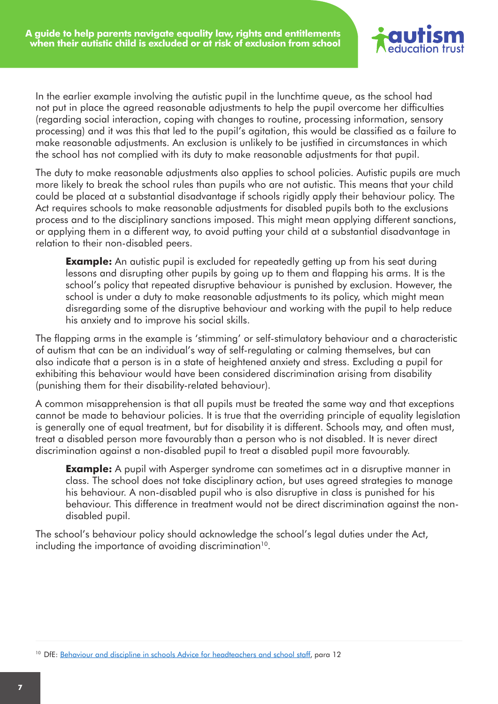![](_page_6_Picture_1.jpeg)

In the earlier example involving the autistic pupil in the lunchtime queue, as the school had not put in place the agreed reasonable adjustments to help the pupil overcome her difficulties (regarding social interaction, coping with changes to routine, processing information, sensory processing) and it was this that led to the pupil's agitation, this would be classified as a failure to make reasonable adjustments. An exclusion is unlikely to be justified in circumstances in which the school has not complied with its duty to make reasonable adjustments for that pupil.

The duty to make reasonable adjustments also applies to school policies. Autistic pupils are much more likely to break the school rules than pupils who are not autistic. This means that your child could be placed at a substantial disadvantage if schools rigidly apply their behaviour policy. The Act requires schools to make reasonable adjustments for disabled pupils both to the exclusions process and to the disciplinary sanctions imposed. This might mean applying different sanctions, or applying them in a different way, to avoid putting your child at a substantial disadvantage in relation to their non-disabled peers.

**Example:** An autistic pupil is excluded for repeatedly getting up from his seat during lessons and disrupting other pupils by going up to them and flapping his arms. It is the school's policy that repeated disruptive behaviour is punished by exclusion. However, the school is under a duty to make reasonable adjustments to its policy, which might mean disregarding some of the disruptive behaviour and working with the pupil to help reduce his anxiety and to improve his social skills.

The flapping arms in the example is 'stimming' or self-stimulatory behaviour and a characteristic of autism that can be an individual's way of self-regulating or calming themselves, but can also indicate that a person is in a state of heightened anxiety and stress. Excluding a pupil for exhibiting this behaviour would have been considered discrimination arising from disability (punishing them for their disability-related behaviour).

A common misapprehension is that all pupils must be treated the same way and that exceptions cannot be made to behaviour policies. It is true that the overriding principle of equality legislation is generally one of equal treatment, but for disability it is different. Schools may, and often must, treat a disabled person more favourably than a person who is not disabled. It is never direct discrimination against a non-disabled pupil to treat a disabled pupil more favourably.

**Example:** A pupil with Asperger syndrome can sometimes act in a disruptive manner in class. The school does not take disciplinary action, but uses agreed strategies to manage his behaviour. A non-disabled pupil who is also disruptive in class is punished for his behaviour. This difference in treatment would not be direct discrimination against the nondisabled pupil.

The school's behaviour policy should acknowledge the school's legal duties under the Act, including the importance of avoiding discrimination $10$ .

<sup>&</sup>lt;sup>10</sup> DfE: [Behaviour and discipline in schools Advice for headteachers and school staff,](https://www.gov.uk/government/publications/behaviour-and-discipline-in-schools) para 12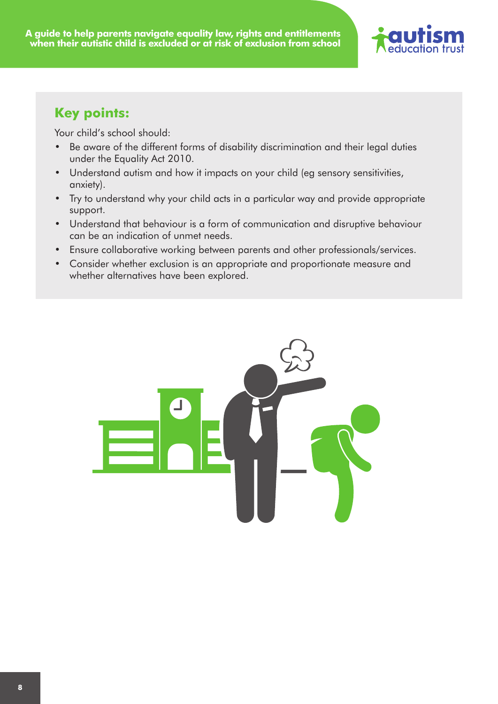![](_page_7_Picture_1.jpeg)

#### **Key points:**

Your child's school should:

- Be aware of the different forms of disability discrimination and their legal duties under the Equality Act 2010.
- Understand autism and how it impacts on your child (eg sensory sensitivities, anxiety).
- Try to understand why your child acts in a particular way and provide appropriate support.
- Understand that behaviour is a form of communication and disruptive behaviour can be an indication of unmet needs.
- Ensure collaborative working between parents and other professionals/services.
- Consider whether exclusion is an appropriate and proportionate measure and whether alternatives have been explored.

![](_page_7_Picture_10.jpeg)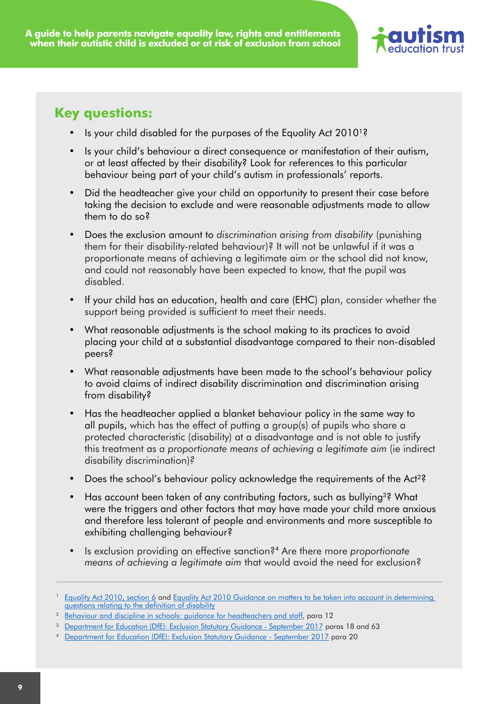![](_page_8_Picture_1.jpeg)

#### **Key questions:**

- Is your child disabled for the purposes of the Equality Act 2010<sup>1</sup>?
- Is your child's behaviour a direct consequence or manifestation of their autism, or at least affected by their disability? Look for references to this particular behaviour being part of your child's autism in professionals' reports.
- Did the headteacher give your child an opportunity to present their case before taking the decision to exclude and were reasonable adjustments made to allow them to do so?
- Does the exclusion amount to *discrimination arising from disability* (punishing them for their disability-related behaviour)? It will not be unlawful if it was a proportionate means of achieving a legitimate aim or the school did not know, and could not reasonably have been expected to know, that the pupil was disabled.
- If your child has an education, health and care (EHC) plan, consider whether the support being provided is sufficient to meet their needs.
- What reasonable adjustments is the school making to its practices to avoid placing your child at a substantial disadvantage compared to their non-disabled peers?
- What reasonable adjustments have been made to the school's behaviour policy to avoid claims of indirect disability discrimination and discrimination arising from disability?
- Has the headteacher applied a blanket behaviour policy in the same way to all pupils, which has the effect of putting a group(s) of pupils who share a protected characteristic (disability) at a disadvantage and is not able to justify this treatment as *a proportionate means of achieving a legitimate aim* (ie indirect disability discrimination)*?*
- Does the school's behaviour policy acknowledge the requirements of the Act<sup>22</sup>
- Has account been taken of any contributing factors, such as bullying<sup>32</sup> What were the triggers and other factors that may have made your child more anxious and therefore less tolerant of people and environments and more susceptible to exhibiting challenging behaviour?
- • Is exclusion providing an effective sanction?4 Are there more *proportionate means of achieving a legitimate aim* that would avoid the need for exclusion?

<sup>&</sup>lt;sup>1</sup> [Equality Act 2010, section 6](http://www.legislation.gov.uk/ukpga/2010/15/section/6) and Equality Act 2010 Guidance on matters to be taken into account in determining [questions relating to the definition of disability](https://www.equalityhumanrights.com/en/publication-download/equality-act-2010-guidance-matters-be-taken-account-determining-questions)

<sup>&</sup>lt;sup>2</sup> [Behaviour and discipline in schools: guidance for headteachers and staff,](https://www.gov.uk/government/publications/behaviour-and-discipline-in-schools) para 12

<sup>&</sup>lt;sup>3</sup> [Department for Education \(DfE\): Exclusion Statutory Guidance - September 2017](https://www.gov.uk/government/publications/school-exclusion) paras 18 and 63

<sup>4</sup> [Department for Education \(DfE\): Exclusion Statutory Guidance - September 2017](https://www.gov.uk/government/publications/school-exclusion) para 20